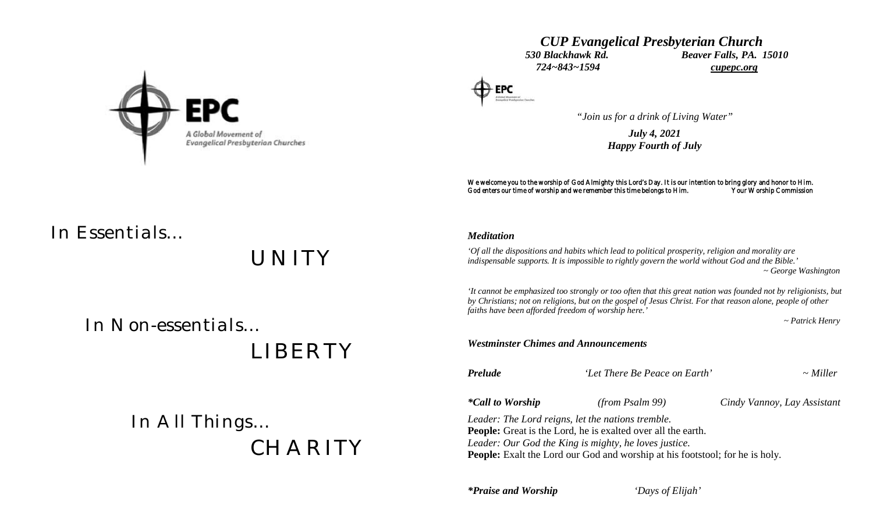

## *CUP Evangelical Presbyterian Church 530 Blackhawk Rd. Beaver Falls, PA. 15010 724~843~1594 cupepc.org*



*"Join us for a drink of Living Water"*

*July 4, 2021 Happy Fourth of July*

We welcome you to the worship of God Almighty this Lord's Day. It is our intention to bring glory and honor to Him.<br>God enters our time of worship and we remember this time belongs to Him. Your Worship Commission God enters our time of worship and we remember this time belongs to Him.

# *In Essentials…*

*UNITY*

 *In Non-essentials…*

 *LIBERTY*

 *In All Things… CHARITY*

### *Meditation*

*'Of all the dispositions and habits which lead to political prosperity, religion and morality are indispensable supports. It is impossible to rightly govern the world without God and the Bible.' ~ George Washington 'It cannot be emphasized too strongly or too often that this great nation was founded not by religionists, but by Christians; not on religions, but on the gospel of Jesus Christ. For that reason alone, people of other faiths have been afforded freedom of worship here.'*

 *~ Patrick Henry*

*Westminster Chimes and Announcements*

*Prelude 'Let There Be Peace on Earth' ~ Miller*

*\*Call to Worship (from Psalm 99) Cindy Vannoy, Lay Assistant*

*Leader: The Lord reigns, let the nations tremble.* **People:** Great is the Lord, he is exalted over all the earth. *Leader: Our God the King is mighty, he loves justice.* **People:** Exalt the Lord our God and worship at his footstool; for he is holy.

*\*Praise and Worship 'Days of Elijah'*